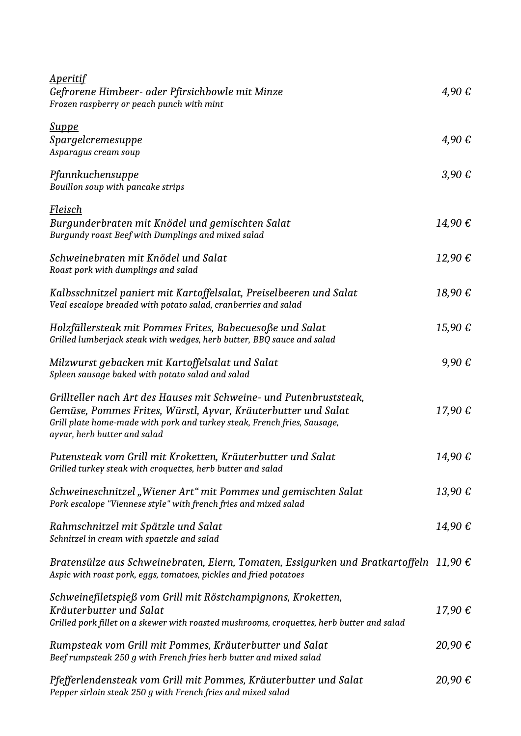| <u>Aperitif</u><br>Gefrorene Himbeer- oder Pfirsichbowle mit Minze<br>Frozen raspberry or peach punch with mint                                                                                                                                 | 4.90€               |
|-------------------------------------------------------------------------------------------------------------------------------------------------------------------------------------------------------------------------------------------------|---------------------|
| <u>Suppe</u><br>Spargelcremesuppe<br>Asparagus cream soup                                                                                                                                                                                       | 4,90€               |
| Pfannkuchensuppe<br>Bouillon soup with pancake strips                                                                                                                                                                                           | $3,90 \text{ } \in$ |
| <u>Fleisch</u><br>Burgunderbraten mit Knödel und gemischten Salat<br>Burgundy roast Beef with Dumplings and mixed salad                                                                                                                         | 14,90€              |
| Schweinebraten mit Knödel und Salat<br>Roast pork with dumplings and salad                                                                                                                                                                      | 12,90€              |
| Kalbsschnitzel paniert mit Kartoffelsalat, Preiselbeeren und Salat<br>Veal escalope breaded with potato salad, cranberries and salad                                                                                                            | 18,90€              |
| Holzfällersteak mit Pommes Frites, Babecuesoße und Salat<br>Grilled lumberjack steak with wedges, herb butter, BBQ sauce and salad                                                                                                              | 15,90€              |
| Milzwurst gebacken mit Kartoffelsalat und Salat<br>Spleen sausage baked with potato salad and salad                                                                                                                                             | 9,90€               |
| Grillteller nach Art des Hauses mit Schweine- und Putenbruststeak,<br>Gemüse, Pommes Frites, Würstl, Ayvar, Kräuterbutter und Salat<br>Grill plate home-made with pork and turkey steak, French fries, Sausage,<br>ayvar, herb butter and salad | 17,90€              |
| Putensteak vom Grill mit Kroketten, Kräuterbutter und Salat<br>Grilled turkey steak with croquettes, herb butter and salad                                                                                                                      | 14,90 €             |
| Schweineschnitzel "Wiener Art" mit Pommes und gemischten Salat<br>Pork escalope "Viennese style" with french fries and mixed salad                                                                                                              | 13,90€              |
| Rahmschnitzel mit Spätzle und Salat<br>Schnitzel in cream with spaetzle and salad                                                                                                                                                               | 14,90€              |
| Bratensülze aus Schweinebraten, Eiern, Tomaten, Essigurken und Bratkartoffeln 11,90 $\epsilon$<br>Aspic with roast pork, eggs, tomatoes, pickles and fried potatoes                                                                             |                     |
| Schweinefiletspieß vom Grill mit Röstchampignons, Kroketten,<br>Kräuterbutter und Salat<br>Grilled pork fillet on a skewer with roasted mushrooms, croquettes, herb butter and salad                                                            | 17,90€              |
| Rumpsteak vom Grill mit Pommes, Kräuterbutter und Salat<br>Beef rumpsteak 250 g with French fries herb butter and mixed salad                                                                                                                   | 20,90€              |
| Pfefferlendensteak vom Grill mit Pommes, Kräuterbutter und Salat<br>Pepper sirloin steak 250 g with French fries and mixed salad                                                                                                                | 20,90€              |